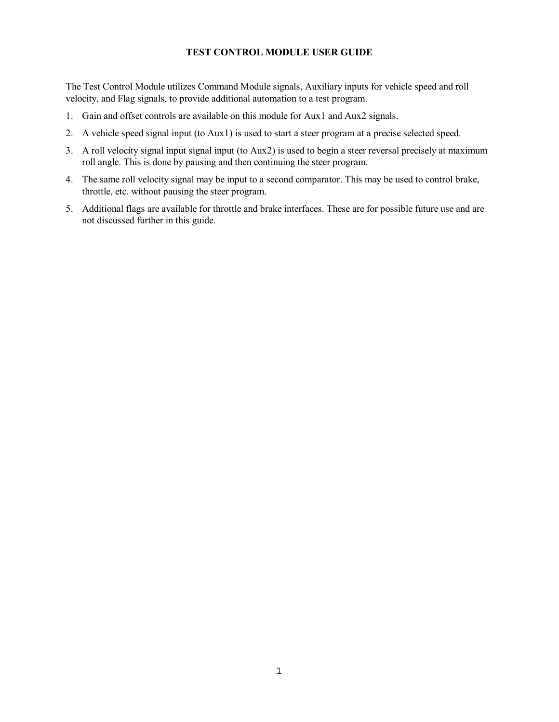# **TEST CONTROL MODULE USER GUIDE**

The Test Control Module utilizes Command Module signals, Auxiliary inputs for vehicle speed and roll velocity, and Flag signals, to provide additional automation to a test program.

- 1. Gain and offset controls are available on this module for Aux1 and Aux2 signals.
- 2. A vehicle speed signal input (to Aux1) is used to start a steer program at a precise selected speed.
- 3. A roll velocity signal input signal input (to Aux2) is used to begin a steer reversal precisely at maximum roll angle. This is done by pausing and then continuing the steer program.
- 4. The same roll velocity signal may be input to a second comparator. This may be used to control brake, throttle, etc. without pausing the steer program.
- 5. Additional flags are available for throttle and brake interfaces. These are for possible future use and are not discussed further in this guide.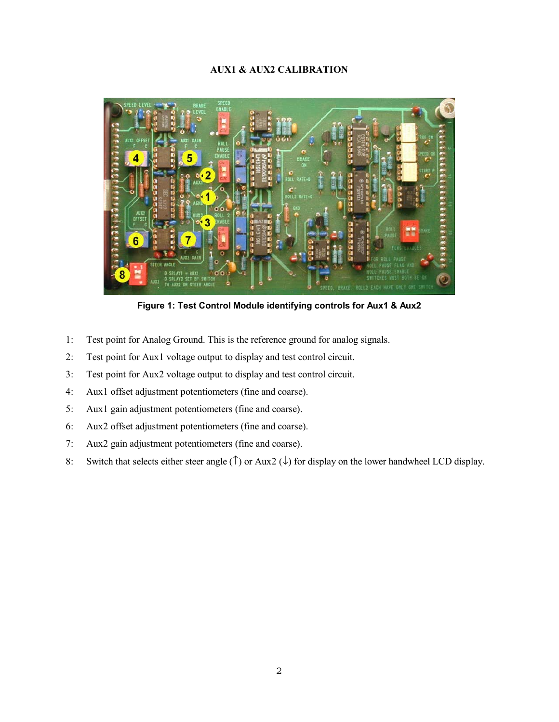## **AUX1 & AUX2 CALIBRATION**



**Figure 1: Test Control Module identifying controls for Aux1 & Aux2**

- 1: Test point for Analog Ground. This is the reference ground for analog signals.
- 2: Test point for Aux1 voltage output to display and test control circuit.
- 3: Test point for Aux2 voltage output to display and test control circuit.
- 4: Aux1 offset adjustment potentiometers (fine and coarse).
- 5: Aux1 gain adjustment potentiometers (fine and coarse).
- 6: Aux2 offset adjustment potentiometers (fine and coarse).
- 7: Aux2 gain adjustment potentiometers (fine and coarse).
- 8: Switch that selects either steer angle ( $\uparrow$ ) or Aux2 ( $\downarrow$ ) for display on the lower handwheel LCD display.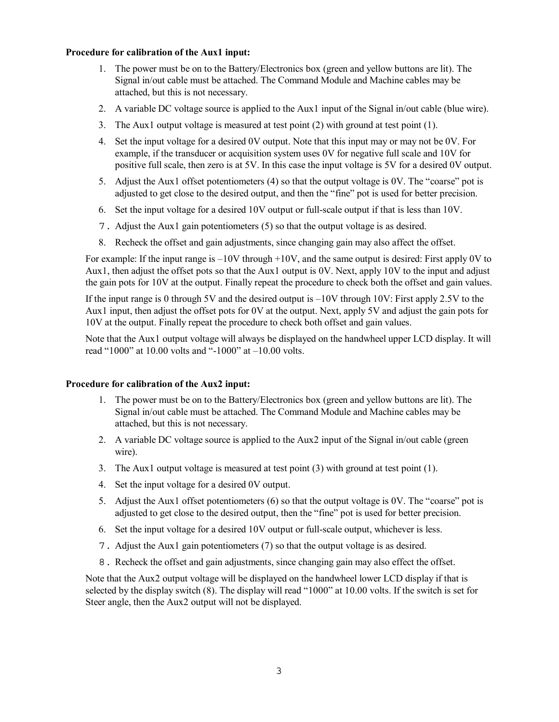# **Procedure for calibration of the Aux1 input:**

- 1. The power must be on to the Battery/Electronics box (green and yellow buttons are lit). The Signal in/out cable must be attached. The Command Module and Machine cables may be attached, but this is not necessary.
- 2. A variable DC voltage source is applied to the Aux1 input of the Signal in/out cable (blue wire).
- 3. The Aux1 output voltage is measured at test point (2) with ground at test point (1).
- 4. Set the input voltage for a desired 0V output. Note that this input may or may not be 0V. For example, if the transducer or acquisition system uses 0V for negative full scale and 10V for positive full scale, then zero is at 5V. In this case the input voltage is 5V for a desired 0V output.
- 5. Adjust the Aux1 offset potentiometers (4) so that the output voltage is 0V. The "coarse" pot is adjusted to get close to the desired output, and then the "fine" pot is used for better precision.
- 6. Set the input voltage for a desired 10V output or full-scale output if that is less than 10V.
- 7. Adjust the Aux1 gain potentiometers (5) so that the output voltage is as desired.
- 8. Recheck the offset and gain adjustments, since changing gain may also affect the offset.

For example: If the input range is  $-10V$  through  $+10V$ , and the same output is desired: First apply 0V to Aux1, then adjust the offset pots so that the Aux1 output is 0V. Next, apply 10V to the input and adjust the gain pots for 10V at the output. Finally repeat the procedure to check both the offset and gain values.

If the input range is 0 through 5V and the desired output is  $-10V$  through 10V: First apply 2.5V to the Aux1 input, then adjust the offset pots for 0V at the output. Next, apply 5V and adjust the gain pots for 10V at the output. Finally repeat the procedure to check both offset and gain values.

Note that the Aux1 output voltage will always be displayed on the handwheel upper LCD display. It will read "1000" at 10.00 volts and "-1000" at –10.00 volts.

#### **Procedure for calibration of the Aux2 input:**

- 1. The power must be on to the Battery/Electronics box (green and yellow buttons are lit). The Signal in/out cable must be attached. The Command Module and Machine cables may be attached, but this is not necessary.
- 2. A variable DC voltage source is applied to the Aux2 input of the Signal in/out cable (green wire).
- 3. The Aux1 output voltage is measured at test point (3) with ground at test point (1).
- 4. Set the input voltage for a desired 0V output.
- 5. Adjust the Aux1 offset potentiometers (6) so that the output voltage is 0V. The "coarse" pot is adjusted to get close to the desired output, then the "fine" pot is used for better precision.
- 6. Set the input voltage for a desired 10V output or full-scale output, whichever is less.
- 7. Adjust the Aux1 gain potentiometers (7) so that the output voltage is as desired.
- 8. Recheck the offset and gain adjustments, since changing gain may also effect the offset.

Note that the Aux2 output voltage will be displayed on the handwheel lower LCD display if that is selected by the display switch (8). The display will read "1000" at 10.00 volts. If the switch is set for Steer angle, then the Aux2 output will not be displayed.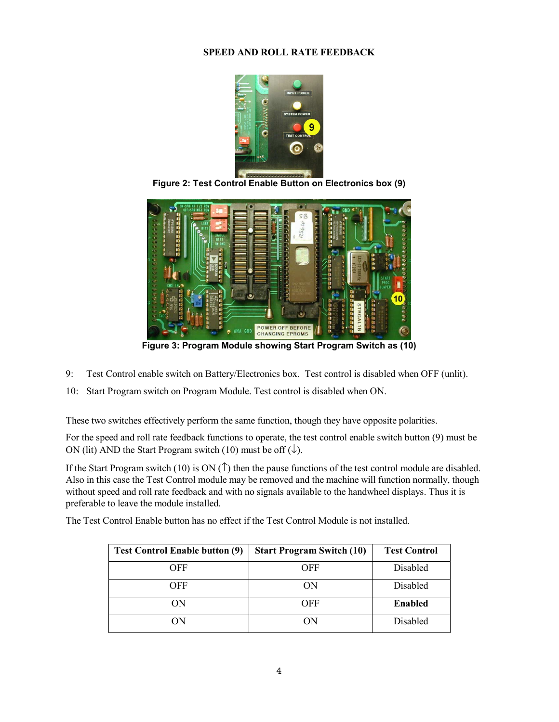## **SPEED AND ROLL RATE FEEDBACK**



**Figure 2: Test Control Enable Button on Electronics box (9)**



**Figure 3: Program Module showing Start Program Switch as (10)**

- 9: Test Control enable switch on Battery/Electronics box. Test control is disabled when OFF (unlit).
- 10: Start Program switch on Program Module. Test control is disabled when ON.

These two switches effectively perform the same function, though they have opposite polarities.

For the speed and roll rate feedback functions to operate, the test control enable switch button (9) must be ON (lit) AND the Start Program switch (10) must be off  $(\downarrow)$ .

If the Start Program switch (10) is ON  $(1)$  then the pause functions of the test control module are disabled. Also in this case the Test Control module may be removed and the machine will function normally, though without speed and roll rate feedback and with no signals available to the handwheel displays. Thus it is preferable to leave the module installed.

The Test Control Enable button has no effect if the Test Control Module is not installed.

| <b>Test Control Enable button (9)</b> | <b>Start Program Switch (10)</b> | <b>Test Control</b> |
|---------------------------------------|----------------------------------|---------------------|
| OFF                                   | <b>OFF</b>                       | Disabled            |
| OFF                                   | ON                               | Disabled            |
| OΝ                                    | OFF                              | <b>Enabled</b>      |
| OΝ                                    | ОN                               | Disabled            |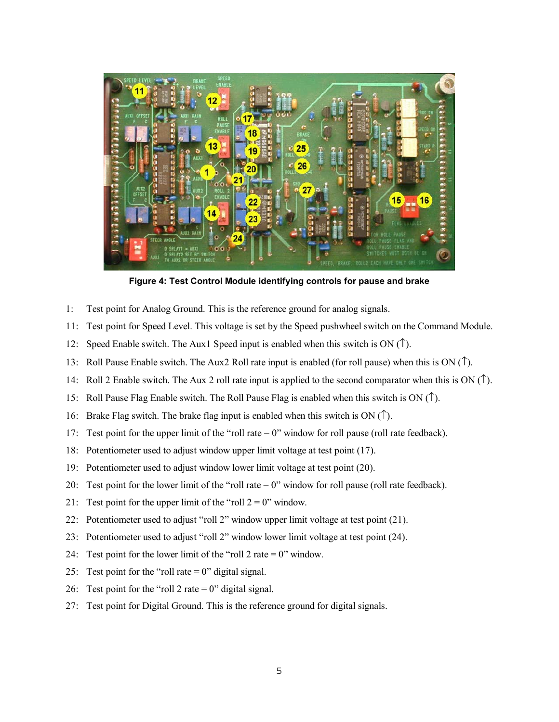

**Figure 4: Test Control Module identifying controls for pause and brake**

- 1: Test point for Analog Ground. This is the reference ground for analog signals.
- 11: Test point for Speed Level. This voltage is set by the Speed pushwheel switch on the Command Module.
- 12: Speed Enable switch. The Aux1 Speed input is enabled when this switch is ON (↑).
- 13: Roll Pause Enable switch. The Aux2 Roll rate input is enabled (for roll pause) when this is ON (↑).
- 14: Roll 2 Enable switch. The Aux 2 roll rate input is applied to the second comparator when this is ON ( $\uparrow$ ).
- 15: Roll Pause Flag Enable switch. The Roll Pause Flag is enabled when this switch is  $ON(1)$ .
- 16: Brake Flag switch. The brake flag input is enabled when this switch is ON  $(1)$ .
- 17: Test point for the upper limit of the "roll rate = 0" window for roll pause (roll rate feedback).
- 18: Potentiometer used to adjust window upper limit voltage at test point (17).
- 19: Potentiometer used to adjust window lower limit voltage at test point (20).
- 20: Test point for the lower limit of the "roll rate = 0" window for roll pause (roll rate feedback).
- 21: Test point for the upper limit of the "roll  $2 = 0$ " window.
- 22: Potentiometer used to adjust "roll 2" window upper limit voltage at test point (21).
- 23: Potentiometer used to adjust "roll 2" window lower limit voltage at test point (24).
- 24: Test point for the lower limit of the "roll 2 rate  $= 0$ " window.
- 25: Test point for the "roll rate  $= 0$ " digital signal.
- 26: Test point for the "roll 2 rate  $= 0$ " digital signal.
- 27: Test point for Digital Ground. This is the reference ground for digital signals.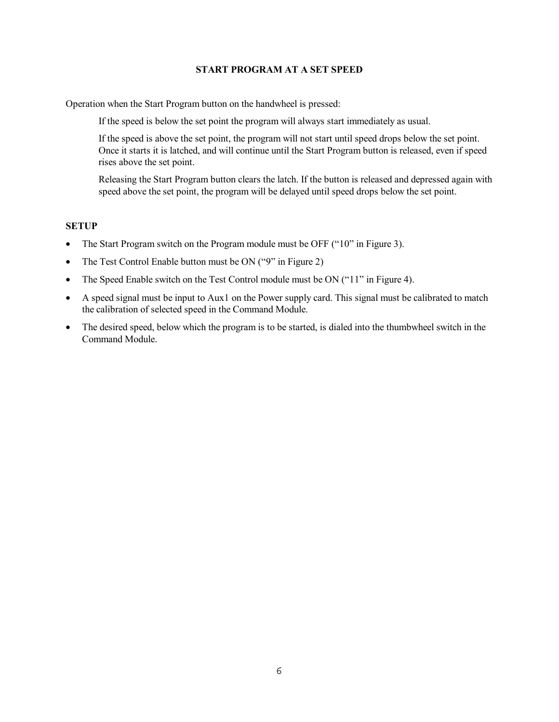### **START PROGRAM AT A SET SPEED**

Operation when the Start Program button on the handwheel is pressed:

If the speed is below the set point the program will always start immediately as usual.

If the speed is above the set point, the program will not start until speed drops below the set point. Once it starts it is latched, and will continue until the Start Program button is released, even if speed rises above the set point.

Releasing the Start Program button clears the latch. If the button is released and depressed again with speed above the set point, the program will be delayed until speed drops below the set point.

## **SETUP**

- The Start Program switch on the Program module must be OFF ("10" in Figure 3).
- The Test Control Enable button must be ON ("9" in Figure 2)
- The Speed Enable switch on the Test Control module must be ON ("11" in Figure 4).
- A speed signal must be input to Aux1 on the Power supply card. This signal must be calibrated to match the calibration of selected speed in the Command Module.
- The desired speed, below which the program is to be started, is dialed into the thumbwheel switch in the Command Module.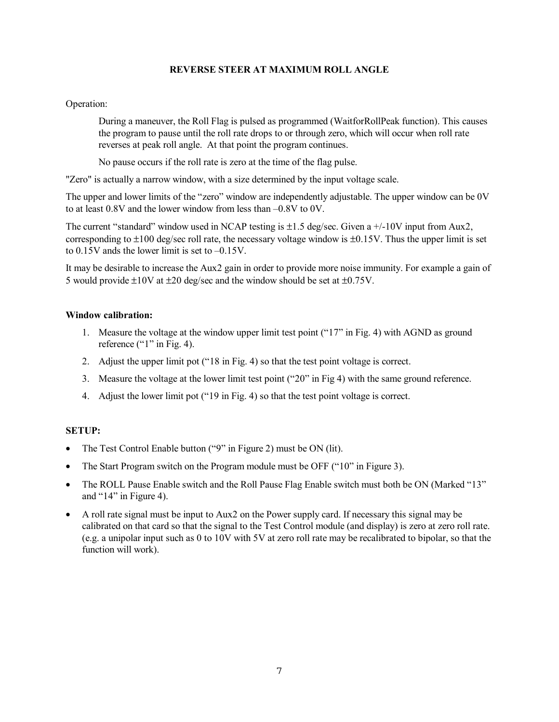## **REVERSE STEER AT MAXIMUM ROLL ANGLE**

### Operation:

During a maneuver, the Roll Flag is pulsed as programmed (WaitforRollPeak function). This causes the program to pause until the roll rate drops to or through zero, which will occur when roll rate reverses at peak roll angle. At that point the program continues.

No pause occurs if the roll rate is zero at the time of the flag pulse.

"Zero" is actually a narrow window, with a size determined by the input voltage scale.

The upper and lower limits of the "zero" window are independently adjustable. The upper window can be 0V to at least 0.8V and the lower window from less than –0.8V to 0V.

The current "standard" window used in NCAP testing is  $\pm 1.5$  deg/sec. Given a  $+/-10V$  input from Aux2, corresponding to  $\pm 100$  deg/sec roll rate, the necessary voltage window is  $\pm 0.15V$ . Thus the upper limit is set to 0.15V ands the lower limit is set to –0.15V.

It may be desirable to increase the Aux2 gain in order to provide more noise immunity. For example a gain of 5 would provide  $\pm 10V$  at  $\pm 20$  deg/sec and the window should be set at  $\pm 0.75V$ .

## **Window calibration:**

- 1. Measure the voltage at the window upper limit test point ("17" in Fig. 4) with AGND as ground reference  $("1"$  in Fig. 4).
- 2. Adjust the upper limit pot ("18 in Fig. 4) so that the test point voltage is correct.
- 3. Measure the voltage at the lower limit test point ("20" in Fig 4) with the same ground reference.
- 4. Adjust the lower limit pot ("19 in Fig. 4) so that the test point voltage is correct.

### **SETUP:**

- The Test Control Enable button ("9" in Figure 2) must be ON (lit).
- The Start Program switch on the Program module must be OFF ("10" in Figure 3).
- The ROLL Pause Enable switch and the Roll Pause Flag Enable switch must both be ON (Marked "13" and "14" in Figure 4).
- A roll rate signal must be input to Aux2 on the Power supply card. If necessary this signal may be calibrated on that card so that the signal to the Test Control module (and display) is zero at zero roll rate. (e.g. a unipolar input such as 0 to 10V with 5V at zero roll rate may be recalibrated to bipolar, so that the function will work).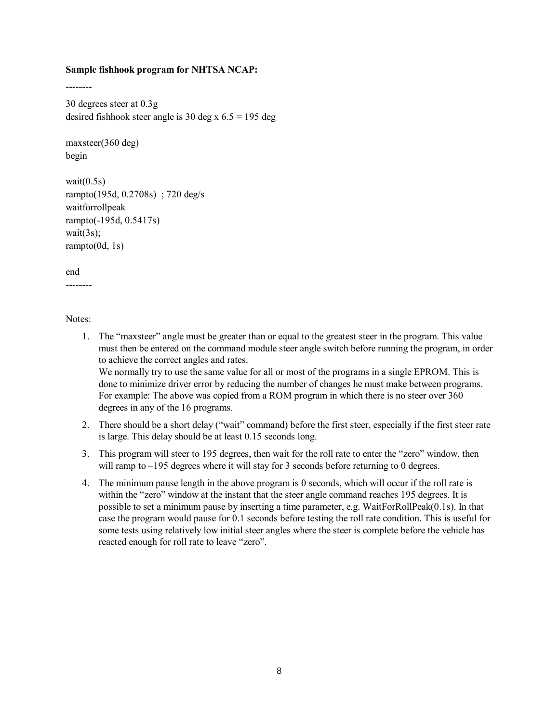#### **Sample fishhook program for NHTSA NCAP:**

30 degrees steer at 0.3g desired fishhook steer angle is 30 deg x  $6.5 = 195$  deg

maxsteer(360 deg) begin

--------

wait $(0.5s)$ rampto(195d, 0.2708s) ; 720 deg/s waitforrollpeak rampto(-195d, 0.5417s) wait $(3s)$ ;  $r$ ampto $(0d, 1s)$ 

end

--------

Notes:

- 1. The "maxsteer" angle must be greater than or equal to the greatest steer in the program. This value must then be entered on the command module steer angle switch before running the program, in order to achieve the correct angles and rates. We normally try to use the same value for all or most of the programs in a single EPROM. This is done to minimize driver error by reducing the number of changes he must make between programs. For example: The above was copied from a ROM program in which there is no steer over 360 degrees in any of the 16 programs.
- 2. There should be a short delay ("wait" command) before the first steer, especially if the first steer rate is large. This delay should be at least 0.15 seconds long.
- 3. This program will steer to 195 degrees, then wait for the roll rate to enter the "zero" window, then will ramp to  $-195$  degrees where it will stay for 3 seconds before returning to 0 degrees.
- 4. The minimum pause length in the above program is 0 seconds, which will occur if the roll rate is within the "zero" window at the instant that the steer angle command reaches 195 degrees. It is possible to set a minimum pause by inserting a time parameter, e.g. WaitForRollPeak(0.1s). In that case the program would pause for 0.1 seconds before testing the roll rate condition. This is useful for some tests using relatively low initial steer angles where the steer is complete before the vehicle has reacted enough for roll rate to leave "zero".